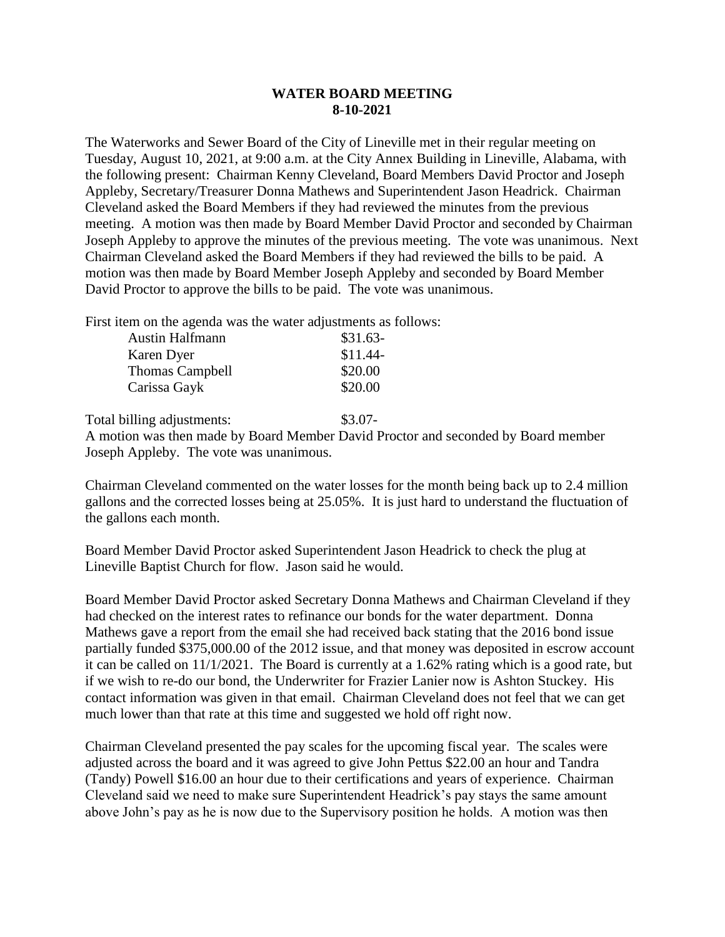## **WATER BOARD MEETING 8-10-2021**

The Waterworks and Sewer Board of the City of Lineville met in their regular meeting on Tuesday, August 10, 2021, at 9:00 a.m. at the City Annex Building in Lineville, Alabama, with the following present: Chairman Kenny Cleveland, Board Members David Proctor and Joseph Appleby, Secretary/Treasurer Donna Mathews and Superintendent Jason Headrick. Chairman Cleveland asked the Board Members if they had reviewed the minutes from the previous meeting. A motion was then made by Board Member David Proctor and seconded by Chairman Joseph Appleby to approve the minutes of the previous meeting. The vote was unanimous. Next Chairman Cleveland asked the Board Members if they had reviewed the bills to be paid. A motion was then made by Board Member Joseph Appleby and seconded by Board Member David Proctor to approve the bills to be paid. The vote was unanimous.

First item on the agenda was the water adjustments as follows:

| <b>Austin Halfmann</b> | $$31.63-$ |
|------------------------|-----------|
| Karen Dyer             | $$11.44-$ |
| <b>Thomas Campbell</b> | \$20.00   |
| Carissa Gayk           | \$20.00   |
|                        |           |

Total billing adjustments:  $$3.07-$ 

A motion was then made by Board Member David Proctor and seconded by Board member Joseph Appleby. The vote was unanimous.

Chairman Cleveland commented on the water losses for the month being back up to 2.4 million gallons and the corrected losses being at 25.05%. It is just hard to understand the fluctuation of the gallons each month.

Board Member David Proctor asked Superintendent Jason Headrick to check the plug at Lineville Baptist Church for flow. Jason said he would.

Board Member David Proctor asked Secretary Donna Mathews and Chairman Cleveland if they had checked on the interest rates to refinance our bonds for the water department. Donna Mathews gave a report from the email she had received back stating that the 2016 bond issue partially funded \$375,000.00 of the 2012 issue, and that money was deposited in escrow account it can be called on  $11/1/2021$ . The Board is currently at a 1.62% rating which is a good rate, but if we wish to re-do our bond, the Underwriter for Frazier Lanier now is Ashton Stuckey. His contact information was given in that email. Chairman Cleveland does not feel that we can get much lower than that rate at this time and suggested we hold off right now.

Chairman Cleveland presented the pay scales for the upcoming fiscal year. The scales were adjusted across the board and it was agreed to give John Pettus \$22.00 an hour and Tandra (Tandy) Powell \$16.00 an hour due to their certifications and years of experience. Chairman Cleveland said we need to make sure Superintendent Headrick's pay stays the same amount above John's pay as he is now due to the Supervisory position he holds. A motion was then